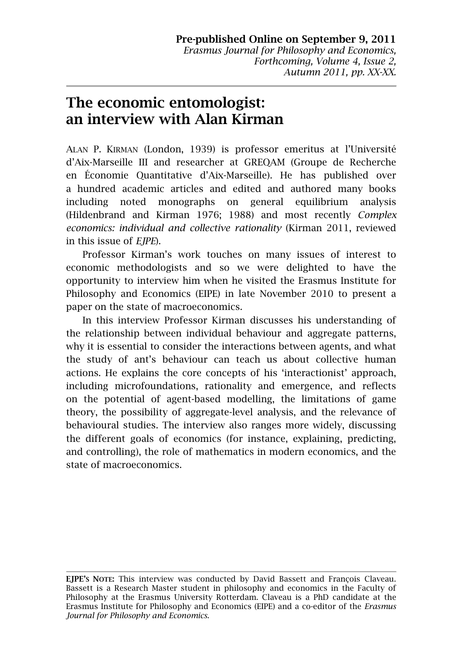# **The economic entomologist: an interview with Alan Kirman**

ALAN P. KIRMAN (London, 1939) is professor emeritus at l'Université d'Aix-Marseille III and researcher at GREQAM (Groupe de Recherche en Économie Quantitative d'Aix-Marseille). He has published over a hundred academic articles and edited and authored many books including noted monographs on general equilibrium analysis (Hildenbrand and Kirman 1976; 1988) and most recently *Complex economics: individual and collective rationality* (Kirman 2011, reviewed in this issue of *EJPE*).

Professor Kirman's work touches on many issues of interest to economic methodologists and so we were delighted to have the opportunity to interview him when he visited the Erasmus Institute for Philosophy and Economics (EIPE) in late November 2010 to present a paper on the state of macroeconomics.

In this interview Professor Kirman discusses his understanding of the relationship between individual behaviour and aggregate patterns, why it is essential to consider the interactions between agents, and what the study of ant's behaviour can teach us about collective human actions. He explains the core concepts of his 'interactionist' approach, including microfoundations, rationality and emergence, and reflects on the potential of agent-based modelling, the limitations of game theory, the possibility of aggregate-level analysis, and the relevance of behavioural studies. The interview also ranges more widely, discussing the different goals of economics (for instance, explaining, predicting, and controlling), the role of mathematics in modern economics, and the state of macroeconomics.

**EJPE'S NOTE:** This interview was conducted by David Bassett and François Claveau. Bassett is a Research Master student in philosophy and economics in the Faculty of Philosophy at the Erasmus University Rotterdam. Claveau is a PhD candidate at the Erasmus Institute for Philosophy and Economics (EIPE) and a co-editor of the *Erasmus Journal for Philosophy and Economics*.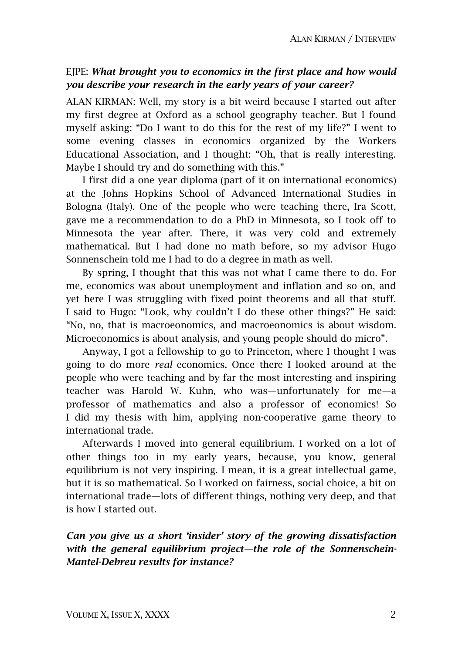# EJPE: *What brought you to economics in the first place and how would you describe your research in the early years of your career?*

ALAN KIRMAN: Well, my story is a bit weird because I started out after my first degree at Oxford as a school geography teacher. But I found myself asking: "Do I want to do this for the rest of my life?" I went to some evening classes in economics organized by the Workers Educational Association, and I thought: "Oh, that is really interesting. Maybe I should try and do something with this."

I first did a one year diploma (part of it on international economics) at the Johns Hopkins School of Advanced International Studies in Bologna (Italy). One of the people who were teaching there, Ira Scott, gave me a recommendation to do a PhD in Minnesota, so I took off to Minnesota the year after. There, it was very cold and extremely mathematical. But I had done no math before, so my advisor Hugo Sonnenschein told me I had to do a degree in math as well.

By spring, I thought that this was not what I came there to do. For me, economics was about unemployment and inflation and so on, and yet here I was struggling with fixed point theorems and all that stuff. I said to Hugo: "Look, why couldn't I do these other things?" He said: "No, no, that is macroeonomics, and macroeonomics is about wisdom. Microeconomics is about analysis, and young people should do micro".

Anyway, I got a fellowship to go to Princeton, where I thought I was going to do more *real* economics. Once there I looked around at the people who were teaching and by far the most interesting and inspiring teacher was Harold W. Kuhn, who was—unfortunately for me—a professor of mathematics and also a professor of economics! So I did my thesis with him, applying non-cooperative game theory to international trade.

Afterwards I moved into general equilibrium. I worked on a lot of other things too in my early years, because, you know, general equilibrium is not very inspiring. I mean, it is a great intellectual game, but it is so mathematical. So I worked on fairness, social choice, a bit on international trade—lots of different things, nothing very deep, and that is how I started out.

*Can you give us a short 'insider' story of the growing dissatisfaction with the general equilibrium project—the role of the Sonnenschein-Mantel-Debreu results for instance?*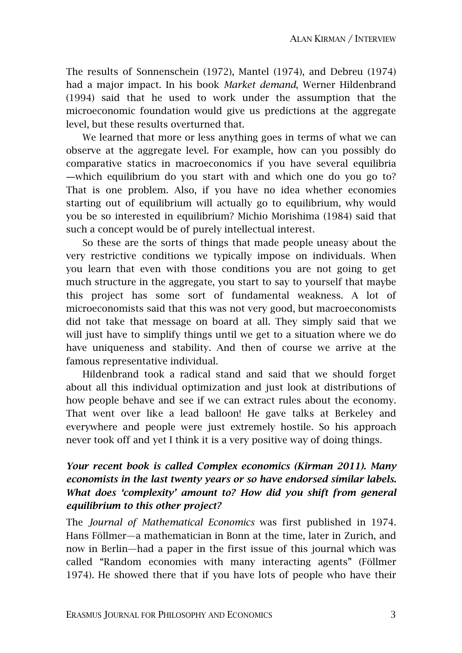The results of Sonnenschein (1972), Mantel (1974), and Debreu (1974) had a major impact. In his book *Market demand*, Werner Hildenbrand (1994) said that he used to work under the assumption that the microeconomic foundation would give us predictions at the aggregate level, but these results overturned that.

We learned that more or less anything goes in terms of what we can observe at the aggregate level. For example, how can you possibly do comparative statics in macroeconomics if you have several equilibria ―which equilibrium do you start with and which one do you go to? That is one problem. Also, if you have no idea whether economies starting out of equilibrium will actually go to equilibrium, why would you be so interested in equilibrium? Michio Morishima (1984) said that such a concept would be of purely intellectual interest.

So these are the sorts of things that made people uneasy about the very restrictive conditions we typically impose on individuals. When you learn that even with those conditions you are not going to get much structure in the aggregate, you start to say to yourself that maybe this project has some sort of fundamental weakness. A lot of microeconomists said that this was not very good, but macroeconomists did not take that message on board at all. They simply said that we will just have to simplify things until we get to a situation where we do have uniqueness and stability. And then of course we arrive at the famous representative individual.

Hildenbrand took a radical stand and said that we should forget about all this individual optimization and just look at distributions of how people behave and see if we can extract rules about the economy. That went over like a lead balloon! He gave talks at Berkeley and everywhere and people were just extremely hostile. So his approach never took off and yet I think it is a very positive way of doing things.

# *Your recent book is called Complex economics (Kirman 2011). Many economists in the last twenty years or so have endorsed similar labels. What does 'complexity' amount to? How did you shift from general equilibrium to this other project?*

The *Journal of Mathematical Economics* was first published in 1974. Hans Föllmer—a mathematician in Bonn at the time, later in Zurich, and now in Berlin—had a paper in the first issue of this journal which was called "Random economies with many interacting agents" (Föllmer 1974). He showed there that if you have lots of people who have their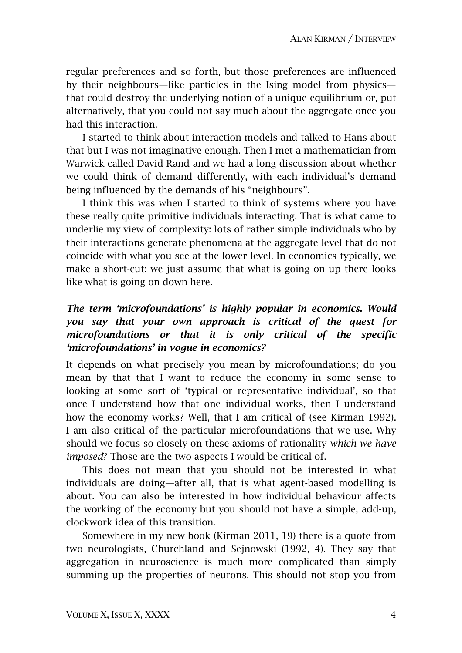regular preferences and so forth, but those preferences are influenced by their neighbours—like particles in the Ising model from physics that could destroy the underlying notion of a unique equilibrium or, put alternatively, that you could not say much about the aggregate once you had this interaction.

I started to think about interaction models and talked to Hans about that but I was not imaginative enough. Then I met a mathematician from Warwick called David Rand and we had a long discussion about whether we could think of demand differently, with each individual's demand being influenced by the demands of his "neighbours".

I think this was when I started to think of systems where you have these really quite primitive individuals interacting. That is what came to underlie my view of complexity: lots of rather simple individuals who by their interactions generate phenomena at the aggregate level that do not coincide with what you see at the lower level. In economics typically, we make a short-cut: we just assume that what is going on up there looks like what is going on down here.

# *The term 'microfoundations' is highly popular in economics. Would you say that your own approach is critical of the quest for microfoundations or that it is only critical of the specific 'microfoundations' in vogue in economics?*

It depends on what precisely you mean by microfoundations; do you mean by that that I want to reduce the economy in some sense to looking at some sort of 'typical or representative individual', so that once I understand how that one individual works, then I understand how the economy works? Well, that I am critical of (see Kirman 1992). I am also critical of the particular microfoundations that we use. Why should we focus so closely on these axioms of rationality *which we have imposed*? Those are the two aspects I would be critical of.

This does not mean that you should not be interested in what individuals are doing—after all, that is what agent-based modelling is about. You can also be interested in how individual behaviour affects the working of the economy but you should not have a simple, add-up, clockwork idea of this transition.

Somewhere in my new book (Kirman 2011, 19) there is a quote from two neurologists, Churchland and Sejnowski (1992, 4). They say that aggregation in neuroscience is much more complicated than simply summing up the properties of neurons. This should not stop you from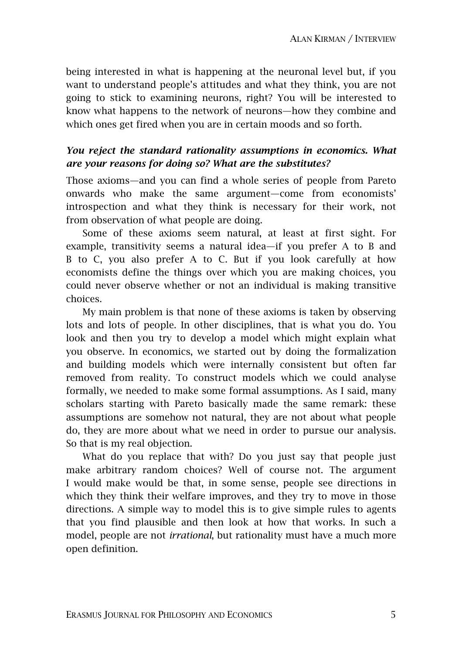being interested in what is happening at the neuronal level but, if you want to understand people's attitudes and what they think, you are not going to stick to examining neurons, right? You will be interested to know what happens to the network of neurons—how they combine and which ones get fired when you are in certain moods and so forth.

#### *You reject the standard rationality assumptions in economics. What are your reasons for doing so? What are the substitutes?*

Those axioms—and you can find a whole series of people from Pareto onwards who make the same argument—come from economists' introspection and what they think is necessary for their work, not from observation of what people are doing.

Some of these axioms seem natural, at least at first sight. For example, transitivity seems a natural idea—if you prefer A to B and B to C, you also prefer A to C. But if you look carefully at how economists define the things over which you are making choices, you could never observe whether or not an individual is making transitive choices.

My main problem is that none of these axioms is taken by observing lots and lots of people. In other disciplines, that is what you do. You look and then you try to develop a model which might explain what you observe. In economics, we started out by doing the formalization and building models which were internally consistent but often far removed from reality. To construct models which we could analyse formally, we needed to make some formal assumptions. As I said, many scholars starting with Pareto basically made the same remark: these assumptions are somehow not natural, they are not about what people do, they are more about what we need in order to pursue our analysis. So that is my real objection.

What do you replace that with? Do you just say that people just make arbitrary random choices? Well of course not. The argument I would make would be that, in some sense, people see directions in which they think their welfare improves, and they try to move in those directions. A simple way to model this is to give simple rules to agents that you find plausible and then look at how that works. In such a model, people are not *irrational*, but rationality must have a much more open definition.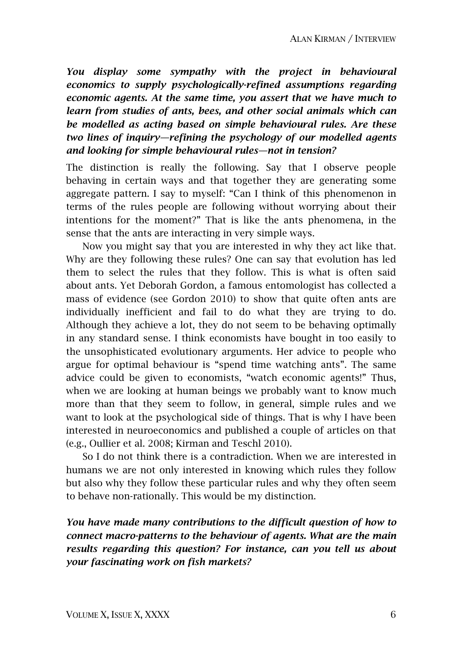*You display some sympathy with the project in behavioural economics to supply psychologically-refined assumptions regarding economic agents. At the same time, you assert that we have much to learn from studies of ants, bees, and other social animals which can be modelled as acting based on simple behavioural rules. Are these two lines of inquiry—refining the psychology of our modelled agents and looking for simple behavioural rules—not in tension?* 

The distinction is really the following. Say that I observe people behaving in certain ways and that together they are generating some aggregate pattern. I say to myself: "Can I think of this phenomenon in terms of the rules people are following without worrying about their intentions for the moment?" That is like the ants phenomena, in the sense that the ants are interacting in very simple ways.

Now you might say that you are interested in why they act like that. Why are they following these rules? One can say that evolution has led them to select the rules that they follow. This is what is often said about ants. Yet Deborah Gordon, a famous entomologist has collected a mass of evidence (see Gordon 2010) to show that quite often ants are individually inefficient and fail to do what they are trying to do. Although they achieve a lot, they do not seem to be behaving optimally in any standard sense. I think economists have bought in too easily to the unsophisticated evolutionary arguments. Her advice to people who argue for optimal behaviour is "spend time watching ants". The same advice could be given to economists, "watch economic agents!" Thus, when we are looking at human beings we probably want to know much more than that they seem to follow, in general, simple rules and we want to look at the psychological side of things. That is why I have been interested in neuroeconomics and published a couple of articles on that (e.g., Oullier et al. 2008; Kirman and Teschl 2010).

So I do not think there is a contradiction. When we are interested in humans we are not only interested in knowing which rules they follow but also why they follow these particular rules and why they often seem to behave non-rationally. This would be my distinction.

*You have made many contributions to the difficult question of how to connect macro-patterns to the behaviour of agents. What are the main results regarding this question? For instance, can you tell us about your fascinating work on fish markets?*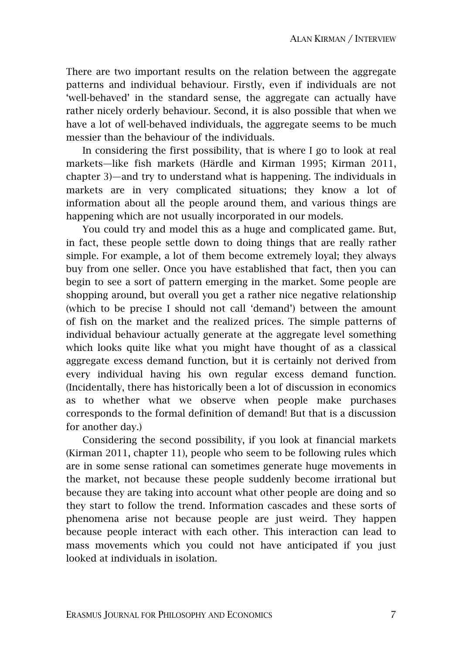There are two important results on the relation between the aggregate patterns and individual behaviour. Firstly, even if individuals are not 'well-behaved' in the standard sense, the aggregate can actually have rather nicely orderly behaviour. Second, it is also possible that when we have a lot of well-behaved individuals, the aggregate seems to be much messier than the behaviour of the individuals.

In considering the first possibility, that is where I go to look at real markets—like fish markets (Härdle and Kirman 1995; Kirman 2011, chapter 3)—and try to understand what is happening. The individuals in markets are in very complicated situations; they know a lot of information about all the people around them, and various things are happening which are not usually incorporated in our models.

You could try and model this as a huge and complicated game. But, in fact, these people settle down to doing things that are really rather simple. For example, a lot of them become extremely loyal; they always buy from one seller. Once you have established that fact, then you can begin to see a sort of pattern emerging in the market. Some people are shopping around, but overall you get a rather nice negative relationship (which to be precise I should not call 'demand') between the amount of fish on the market and the realized prices. The simple patterns of individual behaviour actually generate at the aggregate level something which looks quite like what you might have thought of as a classical aggregate excess demand function, but it is certainly not derived from every individual having his own regular excess demand function. (Incidentally, there has historically been a lot of discussion in economics as to whether what we observe when people make purchases corresponds to the formal definition of demand! But that is a discussion for another day.)

Considering the second possibility, if you look at financial markets (Kirman 2011, chapter 11), people who seem to be following rules which are in some sense rational can sometimes generate huge movements in the market, not because these people suddenly become irrational but because they are taking into account what other people are doing and so they start to follow the trend. Information cascades and these sorts of phenomena arise not because people are just weird. They happen because people interact with each other. This interaction can lead to mass movements which you could not have anticipated if you just looked at individuals in isolation.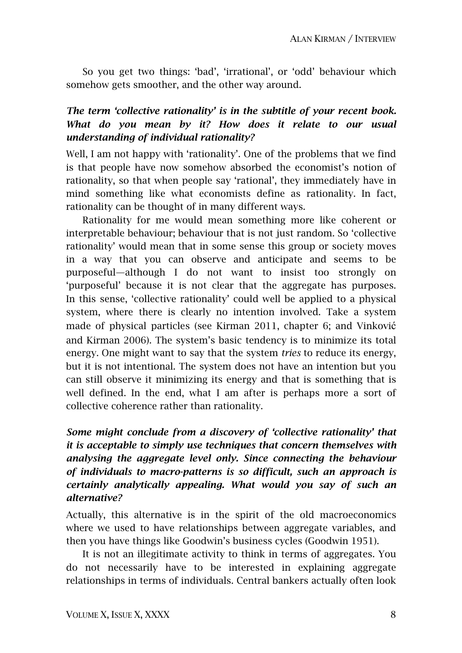So you get two things: 'bad', 'irrational', or 'odd' behaviour which somehow gets smoother, and the other way around.

# *The term 'collective rationality' is in the subtitle of your recent book. What do you mean by it? How does it relate to our usual understanding of individual rationality?*

Well, I am not happy with 'rationality'. One of the problems that we find is that people have now somehow absorbed the economist's notion of rationality, so that when people say 'rational', they immediately have in mind something like what economists define as rationality. In fact, rationality can be thought of in many different ways.

Rationality for me would mean something more like coherent or interpretable behaviour; behaviour that is not just random. So 'collective rationality' would mean that in some sense this group or society moves in a way that you can observe and anticipate and seems to be purposeful—although I do not want to insist too strongly on 'purposeful' because it is not clear that the aggregate has purposes. In this sense, 'collective rationality' could well be applied to a physical system, where there is clearly no intention involved. Take a system made of physical particles (see Kirman 2011, chapter 6; and Vinković and Kirman 2006). The system's basic tendency is to minimize its total energy. One might want to say that the system *tries* to reduce its energy, but it is not intentional. The system does not have an intention but you can still observe it minimizing its energy and that is something that is well defined. In the end, what I am after is perhaps more a sort of collective coherence rather than rationality.

# *Some might conclude from a discovery of 'collective rationality' that it is acceptable to simply use techniques that concern themselves with analysing the aggregate level only. Since connecting the behaviour of individuals to macro-patterns is so difficult, such an approach is certainly analytically appealing. What would you say of such an alternative?*

Actually, this alternative is in the spirit of the old macroeconomics where we used to have relationships between aggregate variables, and then you have things like Goodwin's business cycles (Goodwin 1951).

It is not an illegitimate activity to think in terms of aggregates. You do not necessarily have to be interested in explaining aggregate relationships in terms of individuals. Central bankers actually often look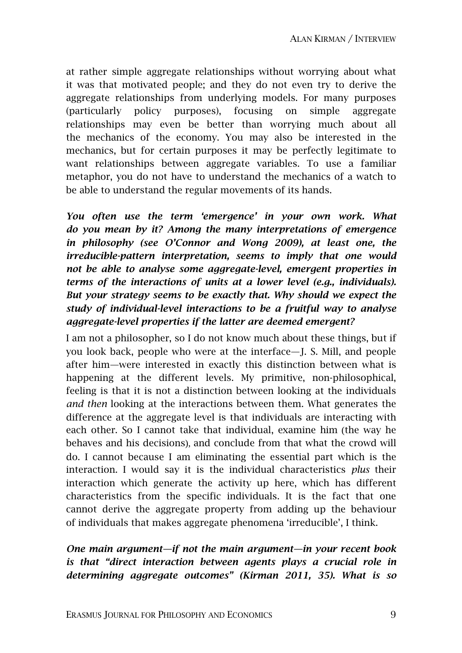at rather simple aggregate relationships without worrying about what it was that motivated people; and they do not even try to derive the aggregate relationships from underlying models. For many purposes (particularly policy purposes), focusing on simple aggregate relationships may even be better than worrying much about all the mechanics of the economy. You may also be interested in the mechanics, but for certain purposes it may be perfectly legitimate to want relationships between aggregate variables. To use a familiar metaphor, you do not have to understand the mechanics of a watch to be able to understand the regular movements of its hands.

*You often use the term 'emergence' in your own work. What do you mean by it? Among the many interpretations of emergence in philosophy (see O'Connor and Wong 2009), at least one, the irreducible-pattern interpretation, seems to imply that one would not be able to analyse some aggregate-level, emergent properties in terms of the interactions of units at a lower level (e.g., individuals). But your strategy seems to be exactly that. Why should we expect the study of individual-level interactions to be a fruitful way to analyse aggregate-level properties if the latter are deemed emergent?* 

I am not a philosopher, so I do not know much about these things, but if you look back, people who were at the interface—J. S. Mill, and people after him—were interested in exactly this distinction between what is happening at the different levels. My primitive, non-philosophical, feeling is that it is not a distinction between looking at the individuals *and then* looking at the interactions between them. What generates the difference at the aggregate level is that individuals are interacting with each other. So I cannot take that individual, examine him (the way he behaves and his decisions), and conclude from that what the crowd will do. I cannot because I am eliminating the essential part which is the interaction. I would say it is the individual characteristics *plus* their interaction which generate the activity up here, which has different characteristics from the specific individuals. It is the fact that one cannot derive the aggregate property from adding up the behaviour of individuals that makes aggregate phenomena 'irreducible', I think.

# *One main argument—if not the main argument—in your recent book is that "direct interaction between agents plays a crucial role in determining aggregate outcomes" (Kirman 2011, 35). What is so*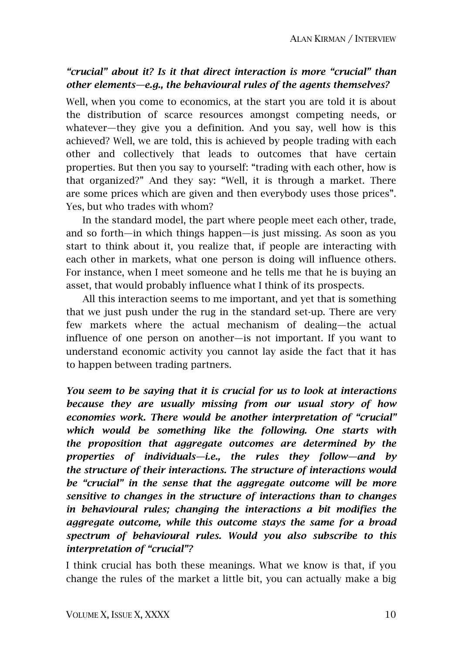# *"crucial" about it? Is it that direct interaction is more "crucial" than other elements—e.g., the behavioural rules of the agents themselves?*

Well, when you come to economics, at the start you are told it is about the distribution of scarce resources amongst competing needs, or whatever—they give you a definition. And you say, well how is this achieved? Well, we are told, this is achieved by people trading with each other and collectively that leads to outcomes that have certain properties. But then you say to yourself: "trading with each other, how is that organized?" And they say: "Well, it is through a market. There are some prices which are given and then everybody uses those prices". Yes, but who trades with whom?

In the standard model, the part where people meet each other, trade, and so forth—in which things happen—is just missing. As soon as you start to think about it, you realize that, if people are interacting with each other in markets, what one person is doing will influence others. For instance, when I meet someone and he tells me that he is buying an asset, that would probably influence what I think of its prospects.

All this interaction seems to me important, and yet that is something that we just push under the rug in the standard set-up. There are very few markets where the actual mechanism of dealing—the actual influence of one person on another—is not important. If you want to understand economic activity you cannot lay aside the fact that it has to happen between trading partners.

*You seem to be saying that it is crucial for us to look at interactions because they are usually missing from our usual story of how economies work. There would be another interpretation of "crucial" which would be something like the following. One starts with the proposition that aggregate outcomes are determined by the properties of individuals—i.e., the rules they follow—and by the structure of their interactions. The structure of interactions would be "crucial" in the sense that the aggregate outcome will be more sensitive to changes in the structure of interactions than to changes in behavioural rules; changing the interactions a bit modifies the aggregate outcome, while this outcome stays the same for a broad spectrum of behavioural rules. Would you also subscribe to this interpretation of "crucial"?* 

I think crucial has both these meanings. What we know is that, if you change the rules of the market a little bit, you can actually make a big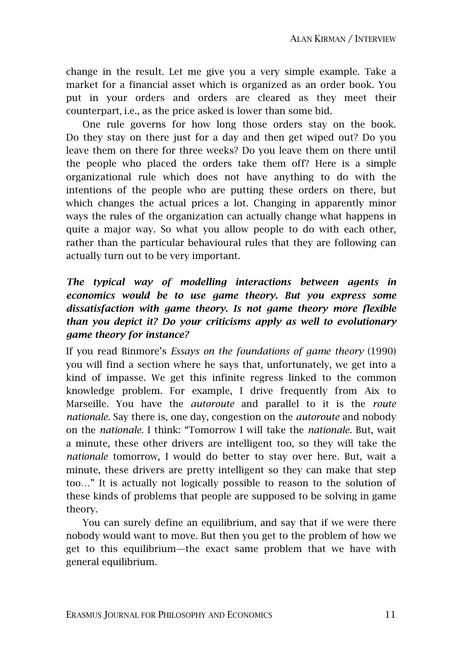change in the result. Let me give you a very simple example. Take a market for a financial asset which is organized as an order book. You put in your orders and orders are cleared as they meet their counterpart, i.e., as the price asked is lower than some bid.

One rule governs for how long those orders stay on the book. Do they stay on there just for a day and then get wiped out? Do you leave them on there for three weeks? Do you leave them on there until the people who placed the orders take them off? Here is a simple organizational rule which does not have anything to do with the intentions of the people who are putting these orders on there, but which changes the actual prices a lot. Changing in apparently minor ways the rules of the organization can actually change what happens in quite a major way. So what you allow people to do with each other, rather than the particular behavioural rules that they are following can actually turn out to be very important.

# *The typical way of modelling interactions between agents in economics would be to use game theory. But you express some dissatisfaction with game theory. Is not game theory more flexible than you depict it? Do your criticisms apply as well to evolutionary game theory for instance?*

If you read Binmore's *Essays on the foundations of game theory* (1990) you will find a section where he says that, unfortunately, we get into a kind of impasse. We get this infinite regress linked to the common knowledge problem. For example, I drive frequently from Aix to Marseille. You have the *autoroute* and parallel to it is the *route nationale*. Say there is, one day, congestion on the *autoroute* and nobody on the *nationale*. I think: "Tomorrow I will take the *nationale*. But, wait a minute, these other drivers are intelligent too, so they will take the *nationale* tomorrow, I would do better to stay over here. But, wait a minute, these drivers are pretty intelligent so they can make that step too…" It is actually not logically possible to reason to the solution of these kinds of problems that people are supposed to be solving in game theory.

You can surely define an equilibrium, and say that if we were there nobody would want to move. But then you get to the problem of how we get to this equilibrium—the exact same problem that we have with general equilibrium.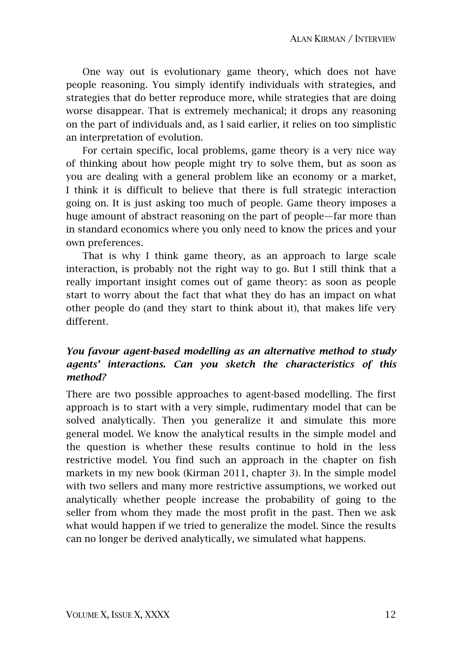One way out is evolutionary game theory, which does not have people reasoning. You simply identify individuals with strategies, and strategies that do better reproduce more, while strategies that are doing worse disappear. That is extremely mechanical; it drops any reasoning on the part of individuals and, as I said earlier, it relies on too simplistic an interpretation of evolution.

For certain specific, local problems, game theory is a very nice way of thinking about how people might try to solve them, but as soon as you are dealing with a general problem like an economy or a market, I think it is difficult to believe that there is full strategic interaction going on. It is just asking too much of people. Game theory imposes a huge amount of abstract reasoning on the part of people—far more than in standard economics where you only need to know the prices and your own preferences.

That is why I think game theory, as an approach to large scale interaction, is probably not the right way to go. But I still think that a really important insight comes out of game theory: as soon as people start to worry about the fact that what they do has an impact on what other people do (and they start to think about it), that makes life very different.

### *You favour agent-based modelling as an alternative method to study agents' interactions. Can you sketch the characteristics of this method?*

There are two possible approaches to agent-based modelling. The first approach is to start with a very simple, rudimentary model that can be solved analytically. Then you generalize it and simulate this more general model. We know the analytical results in the simple model and the question is whether these results continue to hold in the less restrictive model. You find such an approach in the chapter on fish markets in my new book (Kirman 2011, chapter 3). In the simple model with two sellers and many more restrictive assumptions, we worked out analytically whether people increase the probability of going to the seller from whom they made the most profit in the past. Then we ask what would happen if we tried to generalize the model. Since the results can no longer be derived analytically, we simulated what happens.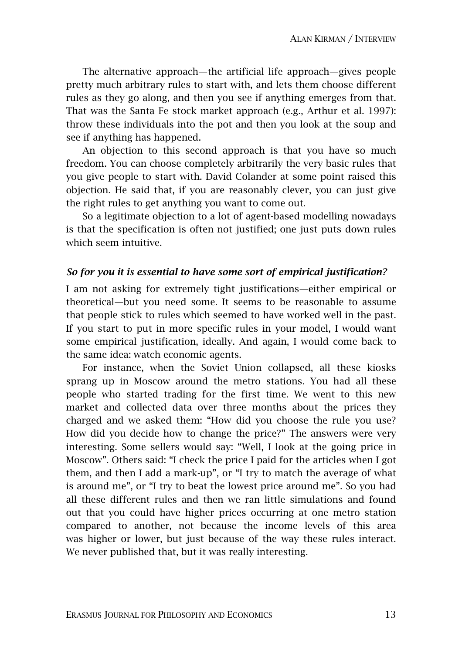The alternative approach—the artificial life approach—gives people pretty much arbitrary rules to start with, and lets them choose different rules as they go along, and then you see if anything emerges from that. That was the Santa Fe stock market approach (e.g., Arthur et al. 1997): throw these individuals into the pot and then you look at the soup and see if anything has happened.

An objection to this second approach is that you have so much freedom. You can choose completely arbitrarily the very basic rules that you give people to start with. David Colander at some point raised this objection. He said that, if you are reasonably clever, you can just give the right rules to get anything you want to come out.

So a legitimate objection to a lot of agent-based modelling nowadays is that the specification is often not justified; one just puts down rules which seem intuitive.

#### *So for you it is essential to have some sort of empirical justification?*

I am not asking for extremely tight justifications—either empirical or theoretical—but you need some. It seems to be reasonable to assume that people stick to rules which seemed to have worked well in the past. If you start to put in more specific rules in your model, I would want some empirical justification, ideally. And again, I would come back to the same idea: watch economic agents.

For instance, when the Soviet Union collapsed, all these kiosks sprang up in Moscow around the metro stations. You had all these people who started trading for the first time. We went to this new market and collected data over three months about the prices they charged and we asked them: "How did you choose the rule you use? How did you decide how to change the price?" The answers were very interesting. Some sellers would say: "Well, I look at the going price in Moscow". Others said: "I check the price I paid for the articles when I got them, and then I add a mark-up", or "I try to match the average of what is around me", or "I try to beat the lowest price around me". So you had all these different rules and then we ran little simulations and found out that you could have higher prices occurring at one metro station compared to another, not because the income levels of this area was higher or lower, but just because of the way these rules interact. We never published that, but it was really interesting.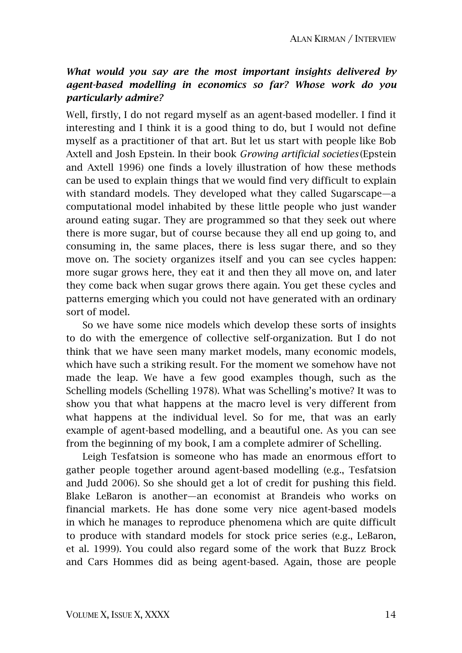# *What would you say are the most important insights delivered by agent-based modelling in economics so far? Whose work do you particularly admire?*

Well, firstly, I do not regard myself as an agent-based modeller. I find it interesting and I think it is a good thing to do, but I would not define myself as a practitioner of that art. But let us start with people like Bob Axtell and Josh Epstein. In their book *Growing artificial societies* (Epstein and Axtell 1996) one finds a lovely illustration of how these methods can be used to explain things that we would find very difficult to explain with standard models. They developed what they called Sugarscape—a computational model inhabited by these little people who just wander around eating sugar. They are programmed so that they seek out where there is more sugar, but of course because they all end up going to, and consuming in, the same places, there is less sugar there, and so they move on. The society organizes itself and you can see cycles happen: more sugar grows here, they eat it and then they all move on, and later they come back when sugar grows there again. You get these cycles and patterns emerging which you could not have generated with an ordinary sort of model.

So we have some nice models which develop these sorts of insights to do with the emergence of collective self-organization. But I do not think that we have seen many market models, many economic models, which have such a striking result. For the moment we somehow have not made the leap. We have a few good examples though, such as the Schelling models (Schelling 1978). What was Schelling's motive? It was to show you that what happens at the macro level is very different from what happens at the individual level. So for me, that was an early example of agent-based modelling, and a beautiful one. As you can see from the beginning of my book, I am a complete admirer of Schelling.

Leigh Tesfatsion is someone who has made an enormous effort to gather people together around agent-based modelling (e.g., Tesfatsion and Judd 2006). So she should get a lot of credit for pushing this field. Blake LeBaron is another—an economist at Brandeis who works on financial markets. He has done some very nice agent-based models in which he manages to reproduce phenomena which are quite difficult to produce with standard models for stock price series (e.g., LeBaron, et al. 1999). You could also regard some of the work that Buzz Brock and Cars Hommes did as being agent-based. Again, those are people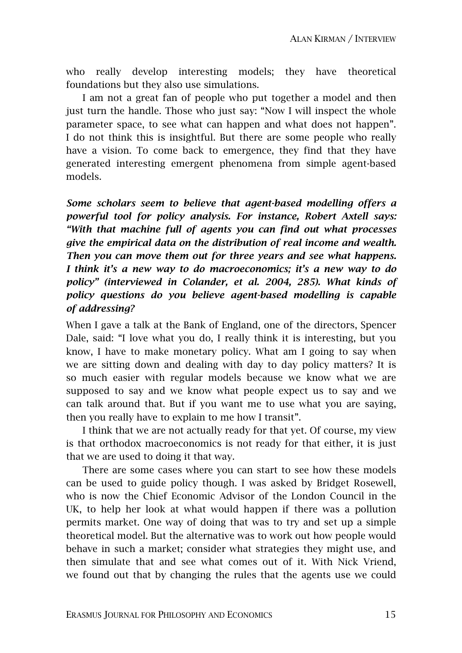who really develop interesting models; they have theoretical foundations but they also use simulations.

I am not a great fan of people who put together a model and then just turn the handle. Those who just say: "Now I will inspect the whole parameter space, to see what can happen and what does not happen". I do not think this is insightful. But there are some people who really have a vision. To come back to emergence, they find that they have generated interesting emergent phenomena from simple agent-based models.

*Some scholars seem to believe that agent-based modelling offers a powerful tool for policy analysis. For instance, Robert Axtell says: "With that machine full of agents you can find out what processes give the empirical data on the distribution of real income and wealth. Then you can move them out for three years and see what happens. I think it's a new way to do macroeconomics; it's a new way to do*  policy" (interviewed in Colander, et al. 2004, 285). What kinds of *policy questions do you believe agent-based modelling is capable of addressing?* 

When I gave a talk at the Bank of England, one of the directors, Spencer Dale, said: "I love what you do, I really think it is interesting, but you know, I have to make monetary policy. What am I going to say when we are sitting down and dealing with day to day policy matters? It is so much easier with regular models because we know what we are supposed to say and we know what people expect us to say and we can talk around that. But if you want me to use what you are saying, then you really have to explain to me how I transit".

I think that we are not actually ready for that yet. Of course, my view is that orthodox macroeconomics is not ready for that either, it is just that we are used to doing it that way.

There are some cases where you can start to see how these models can be used to guide policy though. I was asked by Bridget Rosewell, who is now the Chief Economic Advisor of the London Council in the UK, to help her look at what would happen if there was a pollution permits market. One way of doing that was to try and set up a simple theoretical model. But the alternative was to work out how people would behave in such a market; consider what strategies they might use, and then simulate that and see what comes out of it. With Nick Vriend, we found out that by changing the rules that the agents use we could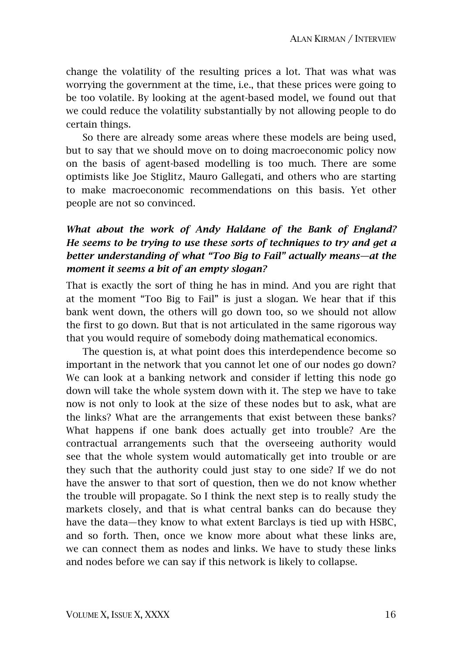change the volatility of the resulting prices a lot. That was what was worrying the government at the time, i.e., that these prices were going to be too volatile. By looking at the agent-based model, we found out that we could reduce the volatility substantially by not allowing people to do certain things.

So there are already some areas where these models are being used, but to say that we should move on to doing macroeconomic policy now on the basis of agent-based modelling is too much. There are some optimists like Joe Stiglitz, Mauro Gallegati, and others who are starting to make macroeconomic recommendations on this basis. Yet other people are not so convinced.

# *What about the work of Andy Haldane of the Bank of England? He seems to be trying to use these sorts of techniques to try and get a better understanding of what "Too Big to Fail" actually means—at the moment it seems a bit of an empty slogan?*

That is exactly the sort of thing he has in mind. And you are right that at the moment "Too Big to Fail" is just a slogan. We hear that if this bank went down, the others will go down too, so we should not allow the first to go down. But that is not articulated in the same rigorous way that you would require of somebody doing mathematical economics.

The question is, at what point does this interdependence become so important in the network that you cannot let one of our nodes go down? We can look at a banking network and consider if letting this node go down will take the whole system down with it. The step we have to take now is not only to look at the size of these nodes but to ask, what are the links? What are the arrangements that exist between these banks? What happens if one bank does actually get into trouble? Are the contractual arrangements such that the overseeing authority would see that the whole system would automatically get into trouble or are they such that the authority could just stay to one side? If we do not have the answer to that sort of question, then we do not know whether the trouble will propagate. So I think the next step is to really study the markets closely, and that is what central banks can do because they have the data—they know to what extent Barclays is tied up with HSBC, and so forth. Then, once we know more about what these links are, we can connect them as nodes and links. We have to study these links and nodes before we can say if this network is likely to collapse.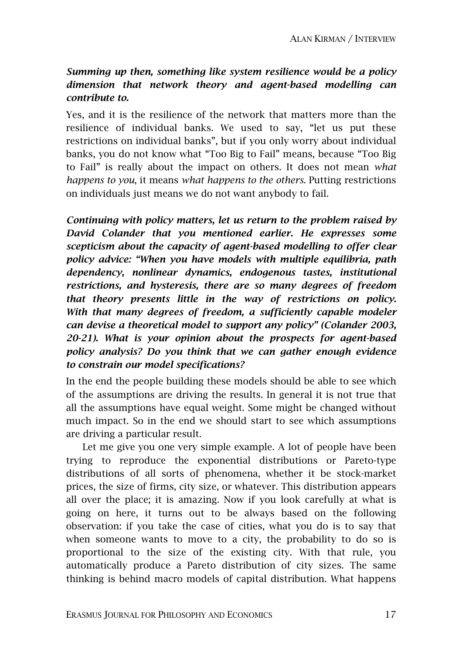# *Summing up then, something like system resilience would be a policy dimension that network theory and agent-based modelling can contribute to.*

Yes, and it is the resilience of the network that matters more than the resilience of individual banks. We used to say, "let us put these restrictions on individual banks", but if you only worry about individual banks, you do not know what "Too Big to Fail" means, because "Too Big to Fail" is really about the impact on others. It does not mean *what happens to you*, it means *what happens to the others*. Putting restrictions on individuals just means we do not want anybody to fail.

*Continuing with policy matters, let us return to the problem raised by David Colander that you mentioned earlier. He expresses some scepticism about the capacity of agent-based modelling to offer clear policy advice: "When you have models with multiple equilibria, path dependency, nonlinear dynamics, endogenous tastes, institutional restrictions, and hysteresis, there are so many degrees of freedom that theory presents little in the way of restrictions on policy. With that many degrees of freedom, a sufficiently capable modeler can devise a theoretical model to support any policy" (Colander 2003, 20-21). What is your opinion about the prospects for agent-based policy analysis? Do you think that we can gather enough evidence to constrain our model specifications?* 

In the end the people building these models should be able to see which of the assumptions are driving the results. In general it is not true that all the assumptions have equal weight. Some might be changed without much impact. So in the end we should start to see which assumptions are driving a particular result.

Let me give you one very simple example. A lot of people have been trying to reproduce the exponential distributions or Pareto-type distributions of all sorts of phenomena, whether it be stock-market prices, the size of firms, city size, or whatever. This distribution appears all over the place; it is amazing. Now if you look carefully at what is going on here, it turns out to be always based on the following observation: if you take the case of cities, what you do is to say that when someone wants to move to a city, the probability to do so is proportional to the size of the existing city. With that rule, you automatically produce a Pareto distribution of city sizes. The same thinking is behind macro models of capital distribution. What happens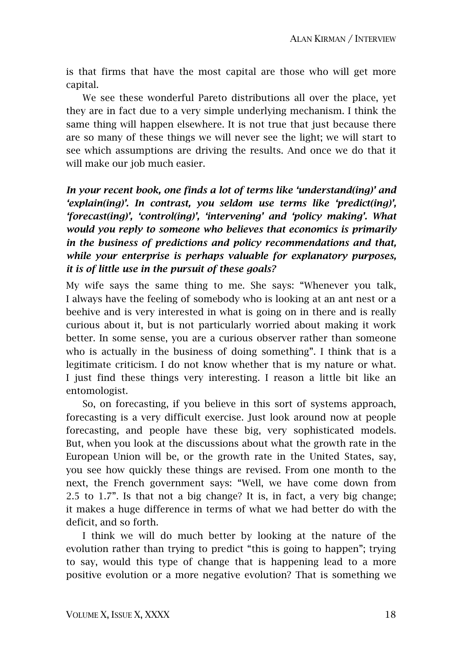is that firms that have the most capital are those who will get more capital.

We see these wonderful Pareto distributions all over the place, yet they are in fact due to a very simple underlying mechanism. I think the same thing will happen elsewhere. It is not true that just because there are so many of these things we will never see the light; we will start to see which assumptions are driving the results. And once we do that it will make our job much easier.

*In your recent book, one finds a lot of terms like 'understand(ing)' and 'explain(ing)'. In contrast, you seldom use terms like 'predict(ing)', 'forecast(ing)', 'control(ing)', 'intervening' and 'policy making'. What would you reply to someone who believes that economics is primarily in the business of predictions and policy recommendations and that, while your enterprise is perhaps valuable for explanatory purposes, it is of little use in the pursuit of these goals?* 

My wife says the same thing to me. She says: "Whenever you talk, I always have the feeling of somebody who is looking at an ant nest or a beehive and is very interested in what is going on in there and is really curious about it, but is not particularly worried about making it work better. In some sense, you are a curious observer rather than someone who is actually in the business of doing something". I think that is a legitimate criticism. I do not know whether that is my nature or what. I just find these things very interesting. I reason a little bit like an entomologist.

So, on forecasting, if you believe in this sort of systems approach, forecasting is a very difficult exercise. Just look around now at people forecasting, and people have these big, very sophisticated models. But, when you look at the discussions about what the growth rate in the European Union will be, or the growth rate in the United States, say, you see how quickly these things are revised. From one month to the next, the French government says: "Well, we have come down from 2.5 to 1.7". Is that not a big change? It is, in fact, a very big change; it makes a huge difference in terms of what we had better do with the deficit, and so forth.

I think we will do much better by looking at the nature of the evolution rather than trying to predict "this is going to happen"; trying to say, would this type of change that is happening lead to a more positive evolution or a more negative evolution? That is something we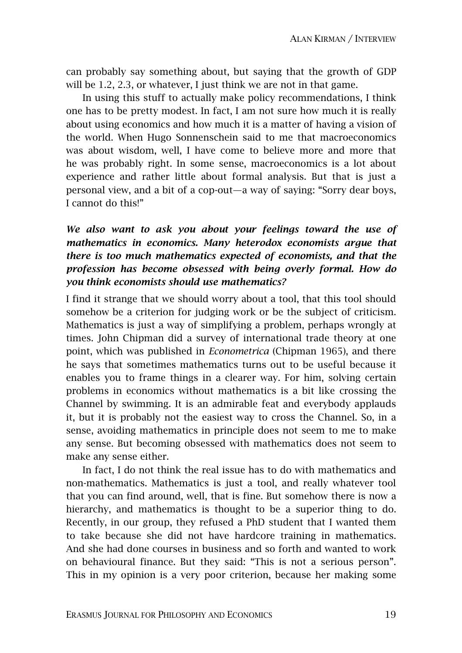can probably say something about, but saying that the growth of GDP will be 1.2, 2.3, or whatever, I just think we are not in that game.

In using this stuff to actually make policy recommendations, I think one has to be pretty modest. In fact, I am not sure how much it is really about using economics and how much it is a matter of having a vision of the world. When Hugo Sonnenschein said to me that macroeconomics was about wisdom, well, I have come to believe more and more that he was probably right. In some sense, macroeconomics is a lot about experience and rather little about formal analysis. But that is just a personal view, and a bit of a cop-out—a way of saying: "Sorry dear boys, I cannot do this!"

# *We also want to ask you about your feelings toward the use of mathematics in economics. Many heterodox economists argue that there is too much mathematics expected of economists, and that the profession has become obsessed with being overly formal. How do you think economists should use mathematics?*

I find it strange that we should worry about a tool, that this tool should somehow be a criterion for judging work or be the subject of criticism. Mathematics is just a way of simplifying a problem, perhaps wrongly at times. John Chipman did a survey of international trade theory at one point, which was published in *Econometrica* (Chipman 1965), and there he says that sometimes mathematics turns out to be useful because it enables you to frame things in a clearer way. For him, solving certain problems in economics without mathematics is a bit like crossing the Channel by swimming. It is an admirable feat and everybody applauds it, but it is probably not the easiest way to cross the Channel. So, in a sense, avoiding mathematics in principle does not seem to me to make any sense. But becoming obsessed with mathematics does not seem to make any sense either.

In fact, I do not think the real issue has to do with mathematics and non-mathematics. Mathematics is just a tool, and really whatever tool that you can find around, well, that is fine. But somehow there is now a hierarchy, and mathematics is thought to be a superior thing to do. Recently, in our group, they refused a PhD student that I wanted them to take because she did not have hardcore training in mathematics. And she had done courses in business and so forth and wanted to work on behavioural finance. But they said: "This is not a serious person". This in my opinion is a very poor criterion, because her making some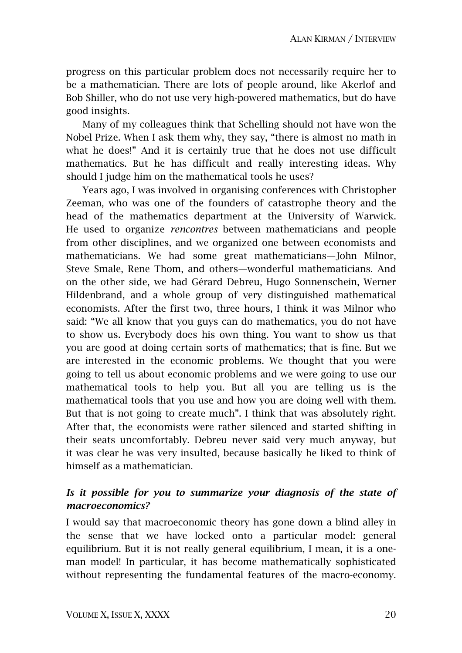progress on this particular problem does not necessarily require her to be a mathematician. There are lots of people around, like Akerlof and Bob Shiller, who do not use very high-powered mathematics, but do have good insights.

Many of my colleagues think that Schelling should not have won the Nobel Prize. When I ask them why, they say, "there is almost no math in what he does!" And it is certainly true that he does not use difficult mathematics. But he has difficult and really interesting ideas. Why should I judge him on the mathematical tools he uses?

Years ago, I was involved in organising conferences with Christopher Zeeman, who was one of the founders of catastrophe theory and the head of the mathematics department at the University of Warwick. He used to organize *rencontres* between mathematicians and people from other disciplines, and we organized one between economists and mathematicians. We had some great mathematicians—John Milnor, Steve Smale, Rene Thom, and others—wonderful mathematicians. And on the other side, we had Gérard Debreu, Hugo Sonnenschein, Werner Hildenbrand, and a whole group of very distinguished mathematical economists. After the first two, three hours, I think it was Milnor who said: "We all know that you guys can do mathematics, you do not have to show us. Everybody does his own thing. You want to show us that you are good at doing certain sorts of mathematics; that is fine. But we are interested in the economic problems. We thought that you were going to tell us about economic problems and we were going to use our mathematical tools to help you. But all you are telling us is the mathematical tools that you use and how you are doing well with them. But that is not going to create much". I think that was absolutely right. After that, the economists were rather silenced and started shifting in their seats uncomfortably. Debreu never said very much anyway, but it was clear he was very insulted, because basically he liked to think of himself as a mathematician.

# Is it possible for you to summarize your diagnosis of the state of *macroeconomics?*

I would say that macroeconomic theory has gone down a blind alley in the sense that we have locked onto a particular model: general equilibrium. But it is not really general equilibrium, I mean, it is a oneman model! In particular, it has become mathematically sophisticated without representing the fundamental features of the macro-economy.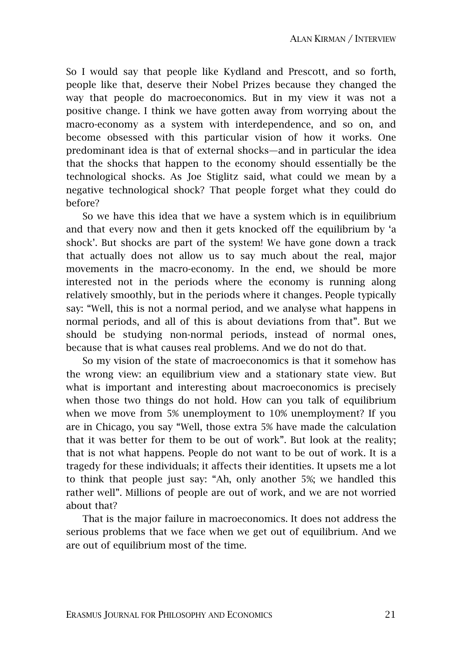So I would say that people like Kydland and Prescott, and so forth, people like that, deserve their Nobel Prizes because they changed the way that people do macroeconomics. But in my view it was not a positive change. I think we have gotten away from worrying about the macro-economy as a system with interdependence, and so on, and become obsessed with this particular vision of how it works. One predominant idea is that of external shocks—and in particular the idea that the shocks that happen to the economy should essentially be the technological shocks. As Joe Stiglitz said, what could we mean by a negative technological shock? That people forget what they could do before?

So we have this idea that we have a system which is in equilibrium and that every now and then it gets knocked off the equilibrium by 'a shock'. But shocks are part of the system! We have gone down a track that actually does not allow us to say much about the real, major movements in the macro-economy. In the end, we should be more interested not in the periods where the economy is running along relatively smoothly, but in the periods where it changes. People typically say: "Well, this is not a normal period, and we analyse what happens in normal periods, and all of this is about deviations from that". But we should be studying non-normal periods, instead of normal ones, because that is what causes real problems. And we do not do that.

So my vision of the state of macroeconomics is that it somehow has the wrong view: an equilibrium view and a stationary state view. But what is important and interesting about macroeconomics is precisely when those two things do not hold. How can you talk of equilibrium when we move from 5% unemployment to 10% unemployment? If you are in Chicago, you say "Well, those extra 5% have made the calculation that it was better for them to be out of work". But look at the reality; that is not what happens. People do not want to be out of work. It is a tragedy for these individuals; it affects their identities. It upsets me a lot to think that people just say: "Ah, only another 5%; we handled this rather well". Millions of people are out of work, and we are not worried about that?

That is the major failure in macroeconomics. It does not address the serious problems that we face when we get out of equilibrium. And we are out of equilibrium most of the time.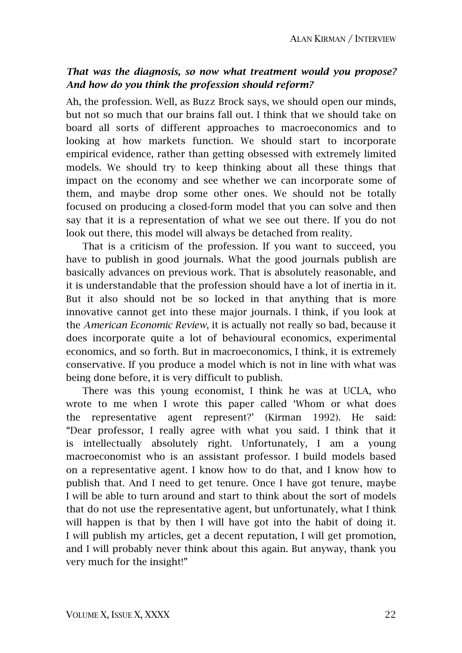# *That was the diagnosis, so now what treatment would you propose? And how do you think the profession should reform?*

Ah, the profession. Well, as Buzz Brock says, we should open our minds, but not so much that our brains fall out. I think that we should take on board all sorts of different approaches to macroeconomics and to looking at how markets function. We should start to incorporate empirical evidence, rather than getting obsessed with extremely limited models. We should try to keep thinking about all these things that impact on the economy and see whether we can incorporate some of them, and maybe drop some other ones. We should not be totally focused on producing a closed-form model that you can solve and then say that it is a representation of what we see out there. If you do not look out there, this model will always be detached from reality.

That is a criticism of the profession. If you want to succeed, you have to publish in good journals. What the good journals publish are basically advances on previous work. That is absolutely reasonable, and it is understandable that the profession should have a lot of inertia in it. But it also should not be so locked in that anything that is more innovative cannot get into these major journals. I think, if you look at the *American Economic Review*, it is actually not really so bad, because it does incorporate quite a lot of behavioural economics, experimental economics, and so forth. But in macroeconomics, I think, it is extremely conservative. If you produce a model which is not in line with what was being done before, it is very difficult to publish.

There was this young economist, I think he was at UCLA, who wrote to me when I wrote this paper called 'Whom or what does the representative agent represent?' (Kirman 1992). He said: "Dear professor, I really agree with what you said. I think that it is intellectually absolutely right. Unfortunately, I am a young macroeconomist who is an assistant professor. I build models based on a representative agent. I know how to do that, and I know how to publish that. And I need to get tenure. Once I have got tenure, maybe I will be able to turn around and start to think about the sort of models that do not use the representative agent, but unfortunately, what I think will happen is that by then I will have got into the habit of doing it. I will publish my articles, get a decent reputation, I will get promotion, and I will probably never think about this again. But anyway, thank you very much for the insight!"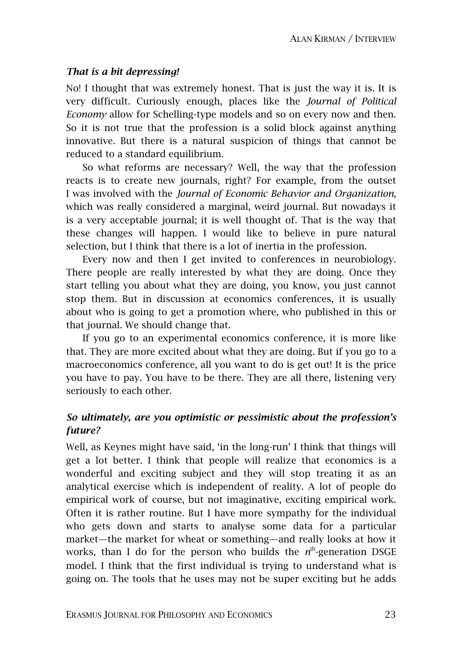#### *That is a bit depressing!*

No! I thought that was extremely honest. That is just the way it is. It is very difficult. Curiously enough, places like the *Journal of Political Economy* allow for Schelling-type models and so on every now and then. So it is not true that the profession is a solid block against anything innovative. But there is a natural suspicion of things that cannot be reduced to a standard equilibrium.

So what reforms are necessary? Well, the way that the profession reacts is to create new journals, right? For example, from the outset I was involved with the *Journal of Economic Behavior and Organization*, which was really considered a marginal, weird journal. But nowadays it is a very acceptable journal; it is well thought of. That is the way that these changes will happen. I would like to believe in pure natural selection, but I think that there is a lot of inertia in the profession.

Every now and then I get invited to conferences in neurobiology. There people are really interested by what they are doing. Once they start telling you about what they are doing, you know, you just cannot stop them. But in discussion at economics conferences, it is usually about who is going to get a promotion where, who published in this or that journal. We should change that.

If you go to an experimental economics conference, it is more like that. They are more excited about what they are doing. But if you go to a macroeconomics conference, all you want to do is get out! It is the price you have to pay. You have to be there. They are all there, listening very seriously to each other.

### *So ultimately, are you optimistic or pessimistic about the profession's future?*

Well, as Keynes might have said, 'in the long-run' I think that things will get a lot better. I think that people will realize that economics is a wonderful and exciting subject and they will stop treating it as an analytical exercise which is independent of reality. A lot of people do empirical work of course, but not imaginative, exciting empirical work. Often it is rather routine. But I have more sympathy for the individual who gets down and starts to analyse some data for a particular market—the market for wheat or something—and really looks at how it works, than I do for the person who builds the n<sup>th</sup>-generation DSGE model. I think that the first individual is trying to understand what is going on. The tools that he uses may not be super exciting but he adds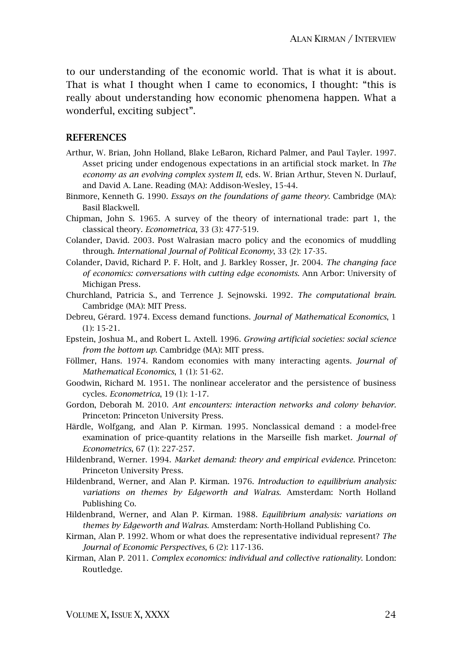to our understanding of the economic world. That is what it is about. That is what I thought when I came to economics, I thought: "this is really about understanding how economic phenomena happen. What a wonderful, exciting subject".

#### **REFERENCES**

- Arthur, W. Brian, John Holland, Blake LeBaron, Richard Palmer, and Paul Tayler. 1997. Asset pricing under endogenous expectations in an artificial stock market. In *The economy as an evolving complex system II*, eds. W. Brian Arthur, Steven N. Durlauf, and David A. Lane. Reading (MA): Addison-Wesley, 15-44.
- Binmore, Kenneth G. 1990. *Essays on the foundations of game theory*. Cambridge (MA): Basil Blackwell.
- Chipman, John S. 1965. A survey of the theory of international trade: part 1, the classical theory. *Econometrica*, 33 (3): 477-519.
- Colander, David. 2003. Post Walrasian macro policy and the economics of muddling through. *International Journal of Political Economy*, 33 (2): 17-35.
- Colander, David, Richard P. F. Holt, and J. Barkley Rosser, Jr. 2004. *The changing face of economics: conversations with cutting edge economists*. Ann Arbor: University of Michigan Press.
- Churchland, Patricia S., and Terrence J. Sejnowski. 1992. *The computational brain*. Cambridge (MA): MIT Press.
- Debreu, Gérard. 1974. Excess demand functions. *Journal of Mathematical Economics*, 1 (1): 15-21.
- Epstein, Joshua M., and Robert L. Axtell. 1996. *Growing artificial societies: social science from the bottom up*. Cambridge (MA): MIT press.
- Föllmer, Hans. 1974. Random economies with many interacting agents. *Journal of Mathematical Economics*, 1 (1): 51-62.
- Goodwin, Richard M. 1951. The nonlinear accelerator and the persistence of business cycles. *Econometrica*, 19 (1): 1-17.
- Gordon, Deborah M. 2010. *Ant encounters: interaction networks and colony behavior*. Princeton: Princeton University Press.
- Härdle, Wolfgang, and Alan P. Kirman. 1995. Nonclassical demand : a model-free examination of price-quantity relations in the Marseille fish market. *Journal of Econometrics*, 67 (1): 227-257.
- Hildenbrand, Werner. 1994. *Market demand: theory and empirical evidence*. Princeton: Princeton University Press.
- Hildenbrand, Werner, and Alan P. Kirman. 1976. *Introduction to equilibrium analysis: variations on themes by Edgeworth and Walras*. Amsterdam: North Holland Publishing Co.
- Hildenbrand, Werner, and Alan P. Kirman. 1988. *Equilibrium analysis: variations on themes by Edgeworth and Walras*. Amsterdam: North-Holland Publishing Co.
- Kirman, Alan P. 1992. Whom or what does the representative individual represent? *The Journal of Economic Perspectives*, 6 (2): 117-136.
- Kirman, Alan P. 2011. *Complex economics: individual and collective rationality*. London: Routledge.